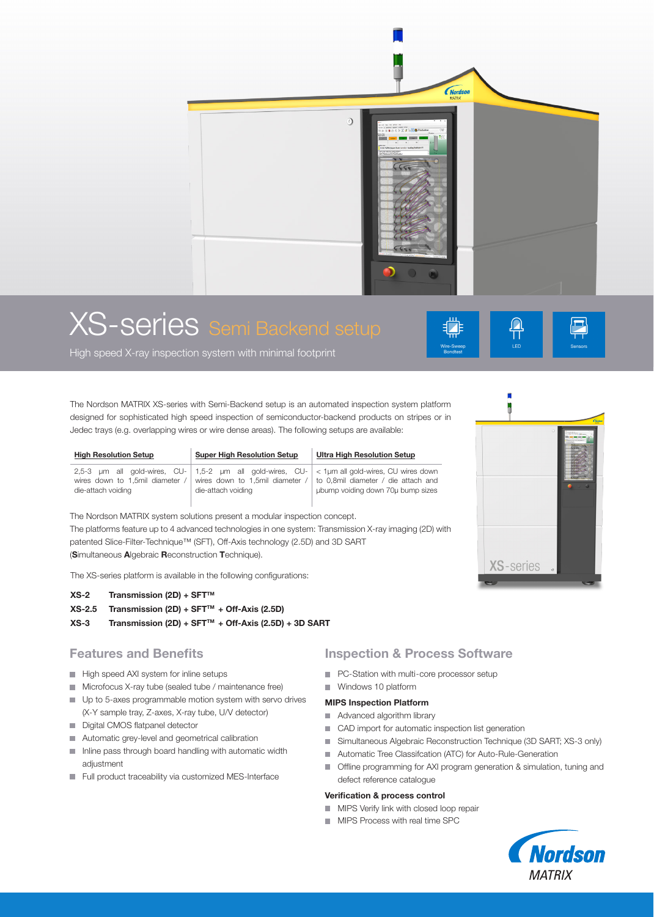

# XS-series Semi Backend setup

High speed X-ray inspection system with minimal footprint

The Nordson MATRIX XS-series with Semi-Backend setup is an automated inspection system platform designed for sophisticated high speed inspection of semiconductor-backend products on stripes or in Jedec trays (e.g. overlapping wires or wire dense areas). The following setups are available:

| <b>High Resolution Setup</b>                        | <b>Super High Resolution Setup</b> | <b>Ultra High Resolution Setup</b>                                                                                                                                                                                            |
|-----------------------------------------------------|------------------------------------|-------------------------------------------------------------------------------------------------------------------------------------------------------------------------------------------------------------------------------|
| wires down to 1.5mil diameter<br>die-attach voiding | die-attach voiding                 | 2,5-3 $\mu$ m all gold-wires, CU- 1,5-2 $\mu$ m all gold-wires, CU- < 1 $\mu$ m all gold-wires, CU wires down<br>wires down to 1,5mil diameter $/$ to 0,8mil diameter $/$ die attach and<br>ubump voiding down 70u bump sizes |

The Nordson MATRIX system solutions present a modular inspection concept. The platforms feature up to 4 advanced technologies in one system: Transmission X-ray imaging (2D) with patented Slice-Filter-Technique™ (SFT), Off-Axis technology (2.5D) and 3D SART (Simultaneous Algebraic Reconstruction Technique).

The XS-series platform is available in the following configurations:

#### $XS-2$  Transmission (2D) + SFT<sup>TM</sup>

- $XS-2.5$  Transmission (2D) + SFT<sup>TM</sup> + Off-Axis (2.5D)
- $XS-3$  Transmission (2D) + SFT<sup>TM</sup> + Off-Axis (2.5D) + 3D SART

## Features and Benefits

- High speed AXI system for inline setups
- **Microfocus X-ray tube (sealed tube / maintenance free)**
- Up to 5-axes programmable motion system with servo drives (X-Y sample tray, Z-axes, X-ray tube, U/V detector)
- Digital CMOS flatpanel detector
- Automatic grey-level and geometrical calibration
- Inline pass through board handling with automatic width adjustment
- Full product traceability via customized MES-Interface

## Inspection & Process Software

- **PC-Station with multi-core processor setup**
- Windows 10 platform MIPS Inspection Platform
- Advanced algorithm library
- CAD import for automatic inspection list generation
- Simultaneous Algebraic Reconstruction Technique (3D SART; XS-3 only)
- **Automatic Tree Classifcation (ATC) for Auto-Rule-Generation**
- **The programming for AXI program generation & simulation, tuning and** defect reference catalogue

#### Verification & process control

- **MIPS Verify link with closed loop repair**
- **MIPS Process with real time SPC**